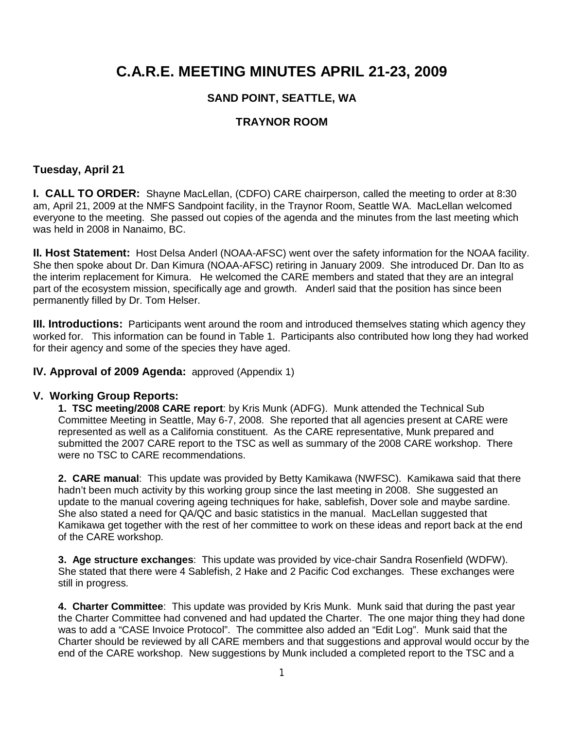## **C.A.R.E. MEETING MINUTES APRIL 21-23, 2009**

### **SAND POINT, SEATTLE, WA**

#### **TRAYNOR ROOM**

#### **Tuesday, April 21**

**I. CALL TO ORDER:** Shayne MacLellan, (CDFO) CARE chairperson, called the meeting to order at 8:30 am, April 21, 2009 at the NMFS Sandpoint facility, in the Traynor Room, Seattle WA. MacLellan welcomed everyone to the meeting. She passed out copies of the agenda and the minutes from the last meeting which was held in 2008 in Nanaimo, BC.

**II. Host Statement:** Host Delsa Anderl (NOAA-AFSC) went over the safety information for the NOAA facility. She then spoke about Dr. Dan Kimura (NOAA-AFSC) retiring in January 2009. She introduced Dr. Dan Ito as the interim replacement for Kimura. He welcomed the CARE members and stated that they are an integral part of the ecosystem mission, specifically age and growth. Anderl said that the position has since been permanently filled by Dr. Tom Helser.

**III. Introductions:** Participants went around the room and introduced themselves stating which agency they worked for. This information can be found in Table 1. Participants also contributed how long they had worked for their agency and some of the species they have aged.

#### **IV. Approval of 2009 Agenda:** approved (Appendix 1)

#### **V. Working Group Reports:**

**1. TSC meeting/2008 CARE report**: by Kris Munk (ADFG). Munk attended the Technical Sub Committee Meeting in Seattle, May 6-7, 2008. She reported that all agencies present at CARE were represented as well as a California constituent. As the CARE representative, Munk prepared and submitted the 2007 CARE report to the TSC as well as summary of the 2008 CARE workshop. There were no TSC to CARE recommendations.

**2. CARE manual**: This update was provided by Betty Kamikawa (NWFSC). Kamikawa said that there hadn't been much activity by this working group since the last meeting in 2008. She suggested an update to the manual covering ageing techniques for hake, sablefish, Dover sole and maybe sardine. She also stated a need for QA/QC and basic statistics in the manual. MacLellan suggested that Kamikawa get together with the rest of her committee to work on these ideas and report back at the end of the CARE workshop.

**3. Age structure exchanges**: This update was provided by vice-chair Sandra Rosenfield (WDFW). She stated that there were 4 Sablefish, 2 Hake and 2 Pacific Cod exchanges. These exchanges were still in progress.

**4. Charter Committee**: This update was provided by Kris Munk. Munk said that during the past year the Charter Committee had convened and had updated the Charter. The one major thing they had done was to add a "CASE Invoice Protocol". The committee also added an "Edit Log". Munk said that the Charter should be reviewed by all CARE members and that suggestions and approval would occur by the end of the CARE workshop. New suggestions by Munk included a completed report to the TSC and a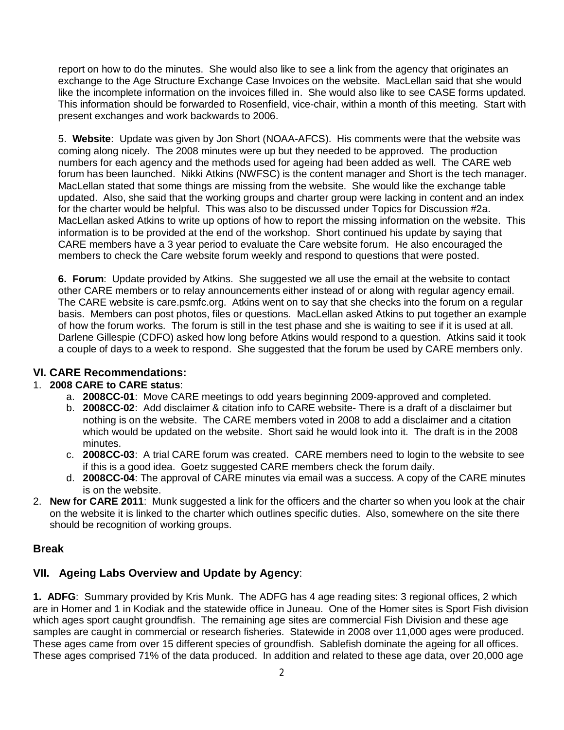report on how to do the minutes. She would also like to see a link from the agency that originates an exchange to the Age Structure Exchange Case Invoices on the website. MacLellan said that she would like the incomplete information on the invoices filled in. She would also like to see CASE forms updated. This information should be forwarded to Rosenfield, vice-chair, within a month of this meeting. Start with present exchanges and work backwards to 2006.

5. **Website**: Update was given by Jon Short (NOAA-AFCS). His comments were that the website was coming along nicely. The 2008 minutes were up but they needed to be approved. The production numbers for each agency and the methods used for ageing had been added as well. The CARE web forum has been launched. Nikki Atkins (NWFSC) is the content manager and Short is the tech manager. MacLellan stated that some things are missing from the website. She would like the exchange table updated. Also, she said that the working groups and charter group were lacking in content and an index for the charter would be helpful. This was also to be discussed under Topics for Discussion #2a. MacLellan asked Atkins to write up options of how to report the missing information on the website. This information is to be provided at the end of the workshop. Short continued his update by saying that CARE members have a 3 year period to evaluate the Care website forum. He also encouraged the members to check the Care website forum weekly and respond to questions that were posted.

**6. Forum**: Update provided by Atkins. She suggested we all use the email at the website to contact other CARE members or to relay announcements either instead of or along with regular agency email. The CARE website is care.psmfc.org. Atkins went on to say that she checks into the forum on a regular basis. Members can post photos, files or questions. MacLellan asked Atkins to put together an example of how the forum works. The forum is still in the test phase and she is waiting to see if it is used at all. Darlene Gillespie (CDFO) asked how long before Atkins would respond to a question. Atkins said it took a couple of days to a week to respond. She suggested that the forum be used by CARE members only.

### **VI. CARE Recommendations:**

#### 1. **2008 CARE to CARE status**:

- a. **2008CC-01**: Move CARE meetings to odd years beginning 2009-approved and completed.
- b. **2008CC-02**: Add disclaimer & citation info to CARE website- There is a draft of a disclaimer but nothing is on the website. The CARE members voted in 2008 to add a disclaimer and a citation which would be updated on the website. Short said he would look into it. The draft is in the 2008 minutes.
- c. **2008CC-03**: A trial CARE forum was created. CARE members need to login to the website to see if this is a good idea. Goetz suggested CARE members check the forum daily.
- d. **2008CC-04**: The approval of CARE minutes via email was a success. A copy of the CARE minutes is on the website.
- 2. **New for CARE 2011**: Munk suggested a link for the officers and the charter so when you look at the chair on the website it is linked to the charter which outlines specific duties. Also, somewhere on the site there should be recognition of working groups.

#### **Break**

### **VII. Ageing Labs Overview and Update by Agency**:

**1. ADFG**: Summary provided by Kris Munk. The ADFG has 4 age reading sites: 3 regional offices, 2 which are in Homer and 1 in Kodiak and the statewide office in Juneau. One of the Homer sites is Sport Fish division which ages sport caught groundfish. The remaining age sites are commercial Fish Division and these age samples are caught in commercial or research fisheries. Statewide in 2008 over 11,000 ages were produced. These ages came from over 15 different species of groundfish. Sablefish dominate the ageing for all offices. These ages comprised 71% of the data produced. In addition and related to these age data, over 20,000 age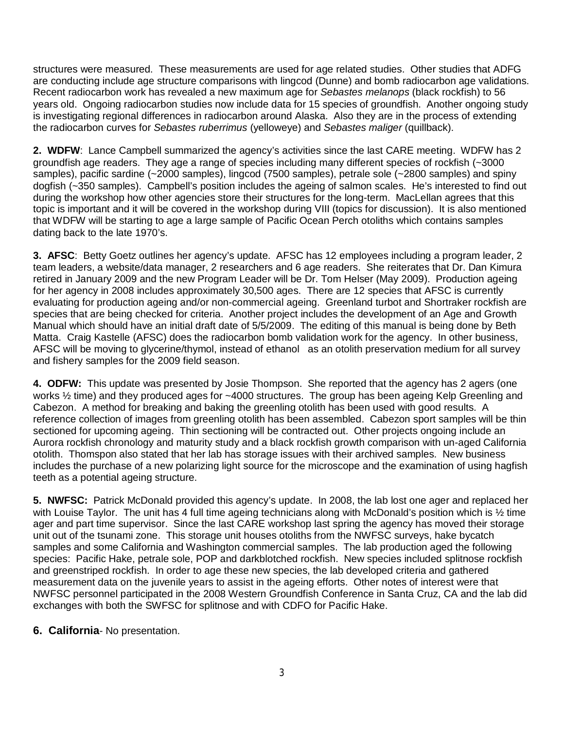structures were measured. These measurements are used for age related studies. Other studies that ADFG are conducting include age structure comparisons with lingcod (Dunne) and bomb radiocarbon age validations. Recent radiocarbon work has revealed a new maximum age for *Sebastes melanops* (black rockfish) to 56 years old. Ongoing radiocarbon studies now include data for 15 species of groundfish. Another ongoing study is investigating regional differences in radiocarbon around Alaska. Also they are in the process of extending the radiocarbon curves for *Sebastes ruberrimus* (yelloweye) and *Sebastes maliger* (quillback).

**2. WDFW**: Lance Campbell summarized the agency's activities since the last CARE meeting. WDFW has 2 groundfish age readers. They age a range of species including many different species of rockfish (~3000 samples), pacific sardine (~2000 samples), lingcod (7500 samples), petrale sole (~2800 samples) and spiny dogfish (~350 samples). Campbell's position includes the ageing of salmon scales. He's interested to find out during the workshop how other agencies store their structures for the long-term. MacLellan agrees that this topic is important and it will be covered in the workshop during VIII (topics for discussion). It is also mentioned that WDFW will be starting to age a large sample of Pacific Ocean Perch otoliths which contains samples dating back to the late 1970's.

**3. AFSC**: Betty Goetz outlines her agency's update. AFSC has 12 employees including a program leader, 2 team leaders, a website/data manager, 2 researchers and 6 age readers. She reiterates that Dr. Dan Kimura retired in January 2009 and the new Program Leader will be Dr. Tom Helser (May 2009). Production ageing for her agency in 2008 includes approximately 30,500 ages. There are 12 species that AFSC is currently evaluating for production ageing and/or non-commercial ageing. Greenland turbot and Shortraker rockfish are species that are being checked for criteria. Another project includes the development of an Age and Growth Manual which should have an initial draft date of 5/5/2009. The editing of this manual is being done by Beth Matta. Craig Kastelle (AFSC) does the radiocarbon bomb validation work for the agency. In other business, AFSC will be moving to glycerine/thymol, instead of ethanol as an otolith preservation medium for all survey and fishery samples for the 2009 field season.

**4. ODFW:** This update was presented by Josie Thompson. She reported that the agency has 2 agers (one works ½ time) and they produced ages for ~4000 structures. The group has been ageing Kelp Greenling and Cabezon. A method for breaking and baking the greenling otolith has been used with good results. A reference collection of images from greenling otolith has been assembled. Cabezon sport samples will be thin sectioned for upcoming ageing. Thin sectioning will be contracted out. Other projects ongoing include an Aurora rockfish chronology and maturity study and a black rockfish growth comparison with un-aged California otolith. Thomspon also stated that her lab has storage issues with their archived samples. New business includes the purchase of a new polarizing light source for the microscope and the examination of using hagfish teeth as a potential ageing structure.

**5. NWFSC:** Patrick McDonald provided this agency's update. In 2008, the lab lost one ager and replaced her with Louise Taylor. The unit has 4 full time ageing technicians along with McDonald's position which is 1/2 time ager and part time supervisor. Since the last CARE workshop last spring the agency has moved their storage unit out of the tsunami zone. This storage unit houses otoliths from the NWFSC surveys, hake bycatch samples and some California and Washington commercial samples. The lab production aged the following species: Pacific Hake, petrale sole, POP and darkblotched rockfish. New species included splitnose rockfish and greenstriped rockfish. In order to age these new species, the lab developed criteria and gathered measurement data on the juvenile years to assist in the ageing efforts. Other notes of interest were that NWFSC personnel participated in the 2008 Western Groundfish Conference in Santa Cruz, CA and the lab did exchanges with both the SWFSC for splitnose and with CDFO for Pacific Hake.

#### **6. California**- No presentation.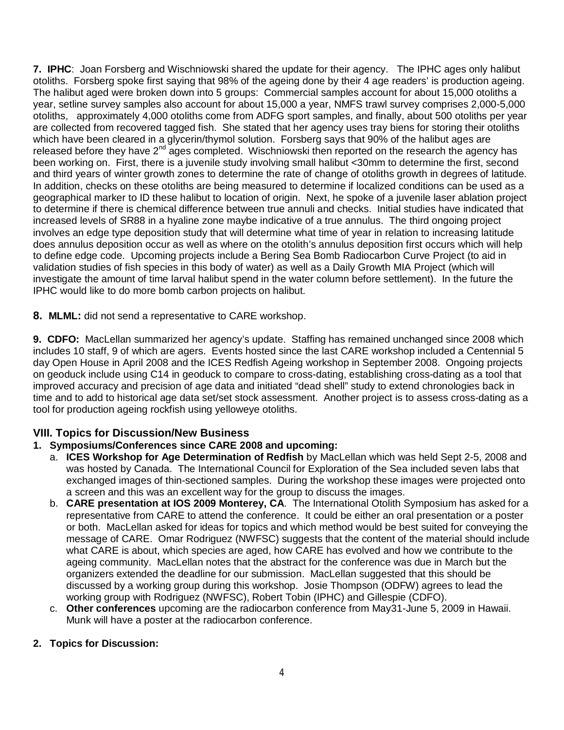**7. IPHC**: Joan Forsberg and Wischniowski shared the update for their agency. The IPHC ages only halibut otoliths. Forsberg spoke first saying that 98% of the ageing done by their 4 age readers' is production ageing. The halibut aged were broken down into 5 groups: Commercial samples account for about 15,000 otoliths a year, setline survey samples also account for about 15,000 a year, NMFS trawl survey comprises 2,000-5,000 otoliths, approximately 4,000 otoliths come from ADFG sport samples, and finally, about 500 otoliths per year are collected from recovered tagged fish. She stated that her agency uses tray biens for storing their otoliths which have been cleared in a glycerin/thymol solution. Forsberg says that 90% of the halibut ages are released before they have 2<sup>nd</sup> ages completed. Wischniowski then reported on the research the agency has been working on. First, there is a juvenile study involving small halibut <30mm to determine the first, second and third years of winter growth zones to determine the rate of change of otoliths growth in degrees of latitude. In addition, checks on these otoliths are being measured to determine if localized conditions can be used as a geographical marker to ID these halibut to location of origin. Next, he spoke of a juvenile laser ablation project to determine if there is chemical difference between true annuli and checks. Initial studies have indicated that increased levels of SR88 in a hyaline zone maybe indicative of a true annulus. The third ongoing project involves an edge type deposition study that will determine what time of year in relation to increasing latitude does annulus deposition occur as well as where on the otolith's annulus deposition first occurs which will help to define edge code. Upcoming projects include a Bering Sea Bomb Radiocarbon Curve Project (to aid in validation studies of fish species in this body of water) as well as a Daily Growth MIA Project (which will investigate the amount of time larval halibut spend in the water column before settlement). In the future the IPHC would like to do more bomb carbon projects on halibut.

**8. MLML:** did not send a representative to CARE workshop.

**9. CDFO:** MacLellan summarized her agency's update. Staffing has remained unchanged since 2008 which includes 10 staff, 9 of which are agers. Events hosted since the last CARE workshop included a Centennial 5 day Open House in April 2008 and the ICES Redfish Ageing workshop in September 2008. Ongoing projects on geoduck include using C14 in geoduck to compare to cross-dating, establishing cross-dating as a tool that improved accuracy and precision of age data and initiated "dead shell" study to extend chronologies back in time and to add to historical age data set/set stock assessment. Another project is to assess cross-dating as a tool for production ageing rockfish using yelloweye otoliths.

### **VIII. Topics for Discussion/New Business**

### **1. Symposiums/Conferences since CARE 2008 and upcoming:**

- a. **ICES Workshop for Age Determination of Redfish** by MacLellan which was held Sept 2-5, 2008 and was hosted by Canada. The International Council for Exploration of the Sea included seven labs that exchanged images of thin-sectioned samples. During the workshop these images were projected onto a screen and this was an excellent way for the group to discuss the images.
- b. **CARE presentation at IOS 2009 Monterey, CA**. The International Otolith Symposium has asked for a representative from CARE to attend the conference. It could be either an oral presentation or a poster or both. MacLellan asked for ideas for topics and which method would be best suited for conveying the message of CARE. Omar Rodriguez (NWFSC) suggests that the content of the material should include what CARE is about, which species are aged, how CARE has evolved and how we contribute to the ageing community. MacLellan notes that the abstract for the conference was due in March but the organizers extended the deadline for our submission. MacLellan suggested that this should be discussed by a working group during this workshop. Josie Thompson (ODFW) agrees to lead the working group with Rodriguez (NWFSC), Robert Tobin (IPHC) and Gillespie (CDFO).
- c. **Other conferences** upcoming are the radiocarbon conference from May31-June 5, 2009 in Hawaii. Munk will have a poster at the radiocarbon conference.

#### **2. Topics for Discussion:**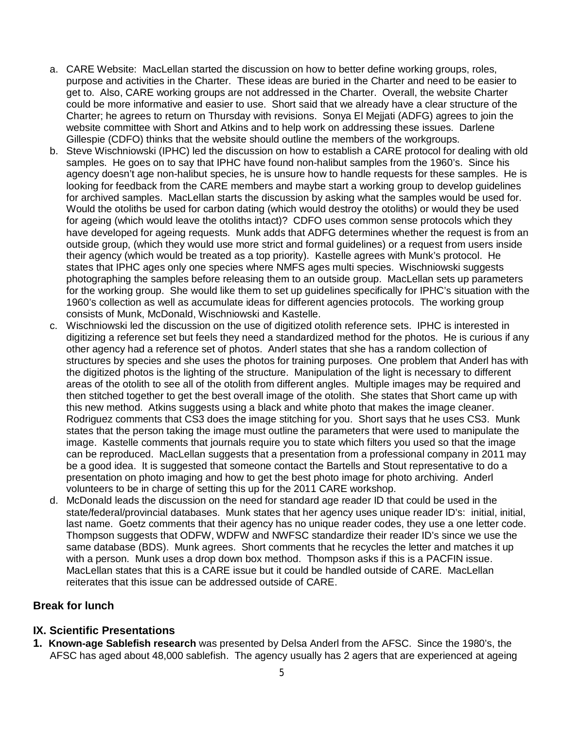- a. CARE Website: MacLellan started the discussion on how to better define working groups, roles, purpose and activities in the Charter. These ideas are buried in the Charter and need to be easier to get to. Also, CARE working groups are not addressed in the Charter. Overall, the website Charter could be more informative and easier to use. Short said that we already have a clear structure of the Charter; he agrees to return on Thursday with revisions. Sonya El Mejjati (ADFG) agrees to join the website committee with Short and Atkins and to help work on addressing these issues. Darlene Gillespie (CDFO) thinks that the website should outline the members of the workgroups.
- b. Steve Wischniowski (IPHC) led the discussion on how to establish a CARE protocol for dealing with old samples. He goes on to say that IPHC have found non-halibut samples from the 1960's. Since his agency doesn't age non-halibut species, he is unsure how to handle requests for these samples. He is looking for feedback from the CARE members and maybe start a working group to develop guidelines for archived samples. MacLellan starts the discussion by asking what the samples would be used for. Would the otoliths be used for carbon dating (which would destroy the otoliths) or would they be used for ageing (which would leave the otoliths intact)? CDFO uses common sense protocols which they have developed for ageing requests. Munk adds that ADFG determines whether the request is from an outside group, (which they would use more strict and formal guidelines) or a request from users inside their agency (which would be treated as a top priority). Kastelle agrees with Munk's protocol. He states that IPHC ages only one species where NMFS ages multi species. Wischniowski suggests photographing the samples before releasing them to an outside group. MacLellan sets up parameters for the working group. She would like them to set up guidelines specifically for IPHC's situation with the 1960's collection as well as accumulate ideas for different agencies protocols. The working group consists of Munk, McDonald, Wischniowski and Kastelle.
- c. Wischniowski led the discussion on the use of digitized otolith reference sets. IPHC is interested in digitizing a reference set but feels they need a standardized method for the photos. He is curious if any other agency had a reference set of photos. Anderl states that she has a random collection of structures by species and she uses the photos for training purposes. One problem that Anderl has with the digitized photos is the lighting of the structure. Manipulation of the light is necessary to different areas of the otolith to see all of the otolith from different angles. Multiple images may be required and then stitched together to get the best overall image of the otolith. She states that Short came up with this new method. Atkins suggests using a black and white photo that makes the image cleaner. Rodriguez comments that CS3 does the image stitching for you. Short says that he uses CS3. Munk states that the person taking the image must outline the parameters that were used to manipulate the image. Kastelle comments that journals require you to state which filters you used so that the image can be reproduced. MacLellan suggests that a presentation from a professional company in 2011 may be a good idea. It is suggested that someone contact the Bartells and Stout representative to do a presentation on photo imaging and how to get the best photo image for photo archiving. Anderl volunteers to be in charge of setting this up for the 2011 CARE workshop.
- d. McDonald leads the discussion on the need for standard age reader ID that could be used in the state/federal/provincial databases. Munk states that her agency uses unique reader ID's: initial, initial, last name. Goetz comments that their agency has no unique reader codes, they use a one letter code. Thompson suggests that ODFW, WDFW and NWFSC standardize their reader ID's since we use the same database (BDS). Munk agrees. Short comments that he recycles the letter and matches it up with a person. Munk uses a drop down box method. Thompson asks if this is a PACFIN issue. MacLellan states that this is a CARE issue but it could be handled outside of CARE. MacLellan reiterates that this issue can be addressed outside of CARE.

#### **Break for lunch**

#### **IX. Scientific Presentations**

**1. Known-age Sablefish research** was presented by Delsa Anderl from the AFSC. Since the 1980's, the AFSC has aged about 48,000 sablefish. The agency usually has 2 agers that are experienced at ageing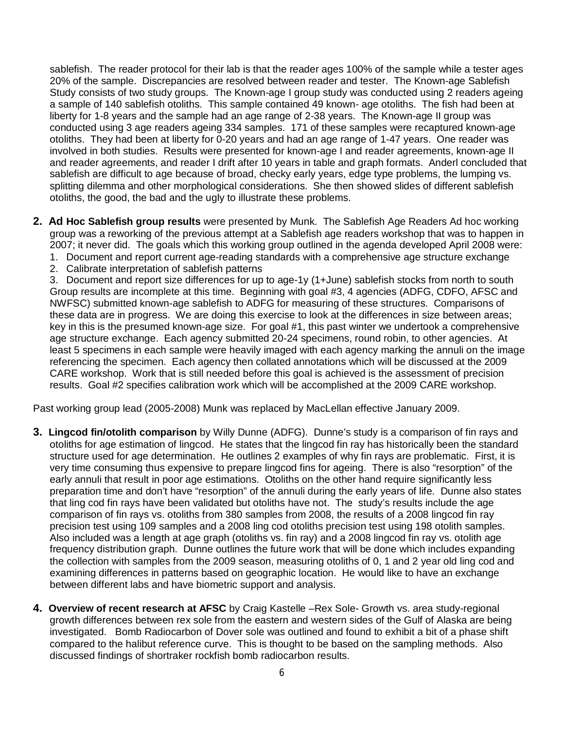sablefish. The reader protocol for their lab is that the reader ages 100% of the sample while a tester ages 20% of the sample. Discrepancies are resolved between reader and tester. The Known-age Sablefish Study consists of two study groups. The Known-age I group study was conducted using 2 readers ageing a sample of 140 sablefish otoliths. This sample contained 49 known- age otoliths. The fish had been at liberty for 1-8 years and the sample had an age range of 2-38 years. The Known-age II group was conducted using 3 age readers ageing 334 samples. 171 of these samples were recaptured known-age otoliths. They had been at liberty for 0-20 years and had an age range of 1-47 years. One reader was involved in both studies. Results were presented for known-age I and reader agreements, known-age II and reader agreements, and reader I drift after 10 years in table and graph formats. Anderl concluded that sablefish are difficult to age because of broad, checky early years, edge type problems, the lumping vs. splitting dilemma and other morphological considerations. She then showed slides of different sablefish otoliths, the good, the bad and the ugly to illustrate these problems.

- **2. Ad Hoc Sablefish group results** were presented by Munk. The Sablefish Age Readers Ad hoc working group was a reworking of the previous attempt at a Sablefish age readers workshop that was to happen in 2007; it never did. The goals which this working group outlined in the agenda developed April 2008 were:
	- 1. Document and report current age-reading standards with a comprehensive age structure exchange
	- 2. Calibrate interpretation of sablefish patterns

3. Document and report size differences for up to age-1y (1+June) sablefish stocks from north to south Group results are incomplete at this time. Beginning with goal #3, 4 agencies (ADFG, CDFO, AFSC and NWFSC) submitted known-age sablefish to ADFG for measuring of these structures. Comparisons of these data are in progress. We are doing this exercise to look at the differences in size between areas; key in this is the presumed known-age size. For goal #1, this past winter we undertook a comprehensive age structure exchange. Each agency submitted 20-24 specimens, round robin, to other agencies. At least 5 specimens in each sample were heavily imaged with each agency marking the annuli on the image referencing the specimen. Each agency then collated annotations which will be discussed at the 2009 CARE workshop. Work that is still needed before this goal is achieved is the assessment of precision results. Goal #2 specifies calibration work which will be accomplished at the 2009 CARE workshop.

Past working group lead (2005-2008) Munk was replaced by MacLellan effective January 2009.

- **3. Lingcod fin/otolith comparison** by Willy Dunne (ADFG). Dunne's study is a comparison of fin rays and otoliths for age estimation of lingcod. He states that the lingcod fin ray has historically been the standard structure used for age determination. He outlines 2 examples of why fin rays are problematic. First, it is very time consuming thus expensive to prepare lingcod fins for ageing. There is also "resorption" of the early annuli that result in poor age estimations. Otoliths on the other hand require significantly less preparation time and don't have "resorption" of the annuli during the early years of life. Dunne also states that ling cod fin rays have been validated but otoliths have not. The study's results include the age comparison of fin rays vs. otoliths from 380 samples from 2008, the results of a 2008 lingcod fin ray precision test using 109 samples and a 2008 ling cod otoliths precision test using 198 otolith samples. Also included was a length at age graph (otoliths vs. fin ray) and a 2008 lingcod fin ray vs. otolith age frequency distribution graph. Dunne outlines the future work that will be done which includes expanding the collection with samples from the 2009 season, measuring otoliths of 0, 1 and 2 year old ling cod and examining differences in patterns based on geographic location. He would like to have an exchange between different labs and have biometric support and analysis.
- **4. Overview of recent research at AFSC** by Craig Kastelle –Rex Sole- Growth vs. area study-regional growth differences between rex sole from the eastern and western sides of the Gulf of Alaska are being investigated. Bomb Radiocarbon of Dover sole was outlined and found to exhibit a bit of a phase shift compared to the halibut reference curve. This is thought to be based on the sampling methods. Also discussed findings of shortraker rockfish bomb radiocarbon results.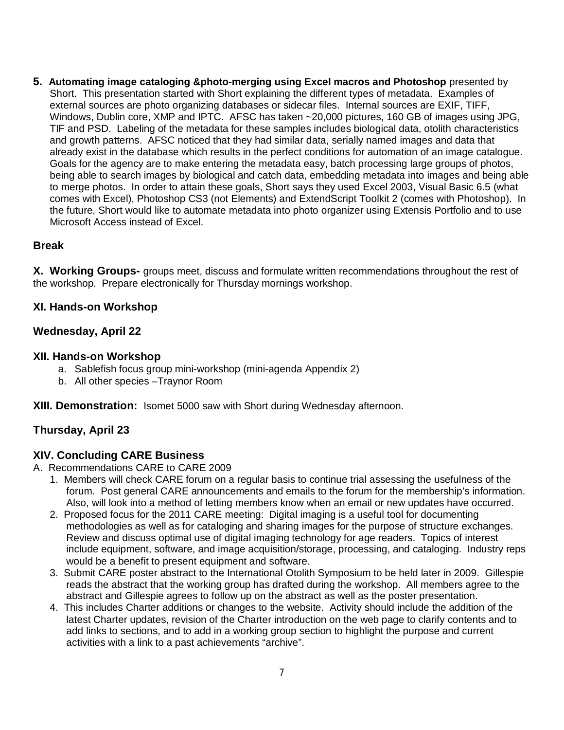**5. Automating image cataloging &photo-merging using Excel macros and Photoshop** presented by Short. This presentation started with Short explaining the different types of metadata. Examples of external sources are photo organizing databases or sidecar files. Internal sources are EXIF, TIFF, Windows, Dublin core, XMP and IPTC. AFSC has taken ~20,000 pictures, 160 GB of images using JPG, TIF and PSD. Labeling of the metadata for these samples includes biological data, otolith characteristics and growth patterns. AFSC noticed that they had similar data, serially named images and data that already exist in the database which results in the perfect conditions for automation of an image catalogue. Goals for the agency are to make entering the metadata easy, batch processing large groups of photos, being able to search images by biological and catch data, embedding metadata into images and being able to merge photos. In order to attain these goals, Short says they used Excel 2003, Visual Basic 6.5 (what comes with Excel), Photoshop CS3 (not Elements) and ExtendScript Toolkit 2 (comes with Photoshop). In the future, Short would like to automate metadata into photo organizer using Extensis Portfolio and to use Microsoft Access instead of Excel.

### **Break**

**X. Working Groups-** groups meet, discuss and formulate written recommendations throughout the rest of the workshop. Prepare electronically for Thursday mornings workshop.

#### **XI. Hands-on Workshop**

#### **Wednesday, April 22**

#### **XII. Hands-on Workshop**

- a. Sablefish focus group mini-workshop (mini-agenda Appendix 2)
- b. All other species –Traynor Room

**XIII. Demonstration:** Isomet 5000 saw with Short during Wednesday afternoon.

### **Thursday, April 23**

#### **XIV. Concluding CARE Business**

A. Recommendations CARE to CARE 2009

- 1. Members will check CARE forum on a regular basis to continue trial assessing the usefulness of the forum. Post general CARE announcements and emails to the forum for the membership's information. Also, will look into a method of letting members know when an email or new updates have occurred.
- 2. Proposed focus for the 2011 CARE meeting: Digital imaging is a useful tool for documenting methodologies as well as for cataloging and sharing images for the purpose of structure exchanges. Review and discuss optimal use of digital imaging technology for age readers. Topics of interest include equipment, software, and image acquisition/storage, processing, and cataloging. Industry reps would be a benefit to present equipment and software.
- 3. Submit CARE poster abstract to the International Otolith Symposium to be held later in 2009. Gillespie reads the abstract that the working group has drafted during the workshop. All members agree to the abstract and Gillespie agrees to follow up on the abstract as well as the poster presentation.
- 4. This includes Charter additions or changes to the website. Activity should include the addition of the latest Charter updates, revision of the Charter introduction on the web page to clarify contents and to add links to sections, and to add in a working group section to highlight the purpose and current activities with a link to a past achievements "archive".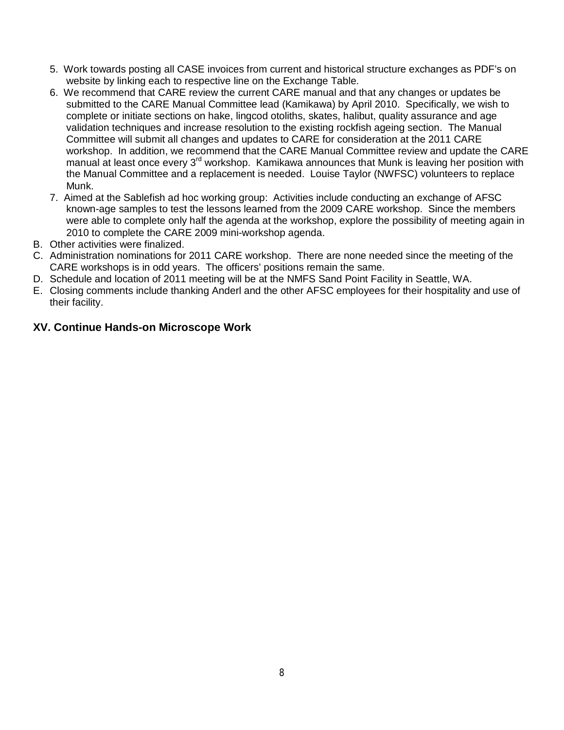- 5. Work towards posting all CASE invoices from current and historical structure exchanges as PDF's on website by linking each to respective line on the Exchange Table.
- 6. We recommend that CARE review the current CARE manual and that any changes or updates be submitted to the CARE Manual Committee lead (Kamikawa) by April 2010. Specifically, we wish to complete or initiate sections on hake, lingcod otoliths, skates, halibut, quality assurance and age validation techniques and increase resolution to the existing rockfish ageing section. The Manual Committee will submit all changes and updates to CARE for consideration at the 2011 CARE workshop. In addition, we recommend that the CARE Manual Committee review and update the CARE manual at least once every 3<sup>rd</sup> workshop. Kamikawa announces that Munk is leaving her position with the Manual Committee and a replacement is needed. Louise Taylor (NWFSC) volunteers to replace Munk.
- 7. Aimed at the Sablefish ad hoc working group: Activities include conducting an exchange of AFSC known-age samples to test the lessons learned from the 2009 CARE workshop. Since the members were able to complete only half the agenda at the workshop, explore the possibility of meeting again in 2010 to complete the CARE 2009 mini-workshop agenda.
- B. Other activities were finalized.
- C. Administration nominations for 2011 CARE workshop. There are none needed since the meeting of the CARE workshops is in odd years. The officers' positions remain the same.
- D. Schedule and location of 2011 meeting will be at the NMFS Sand Point Facility in Seattle, WA.
- E. Closing comments include thanking Anderl and the other AFSC employees for their hospitality and use of their facility.

### **XV. Continue Hands-on Microscope Work**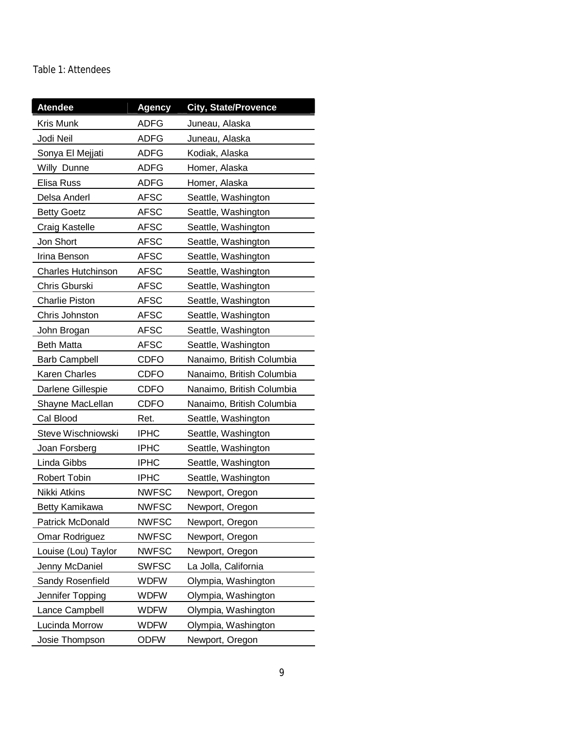#### Table 1: Attendees

| <b>Atendee</b>            | Agency       | <b>City, State/Provence</b> |
|---------------------------|--------------|-----------------------------|
| Kris Munk                 | <b>ADFG</b>  | Juneau, Alaska              |
| Jodi Neil                 | <b>ADFG</b>  | Juneau, Alaska              |
| Sonya El Mejjati          | <b>ADFG</b>  | Kodiak, Alaska              |
| Willy Dunne               | ADFG         | Homer, Alaska               |
| Elisa Russ                | <b>ADFG</b>  | Homer, Alaska               |
| Delsa Anderl              | <b>AFSC</b>  | Seattle, Washington         |
| <b>Betty Goetz</b>        | <b>AFSC</b>  | Seattle, Washington         |
| Craig Kastelle            | <b>AFSC</b>  | Seattle, Washington         |
| Jon Short                 | <b>AFSC</b>  | Seattle, Washington         |
| Irina Benson              | <b>AFSC</b>  | Seattle, Washington         |
| <b>Charles Hutchinson</b> | <b>AFSC</b>  | Seattle, Washington         |
| Chris Gburski             | <b>AFSC</b>  | Seattle, Washington         |
| <b>Charlie Piston</b>     | <b>AFSC</b>  | Seattle, Washington         |
| Chris Johnston            | <b>AFSC</b>  | Seattle, Washington         |
| John Brogan               | <b>AFSC</b>  | Seattle, Washington         |
| <b>Beth Matta</b>         | <b>AFSC</b>  | Seattle, Washington         |
| <b>Barb Campbell</b>      | <b>CDFO</b>  | Nanaimo, British Columbia   |
| <b>Karen Charles</b>      | <b>CDFO</b>  | Nanaimo, British Columbia   |
| Darlene Gillespie         | <b>CDFO</b>  | Nanaimo, British Columbia   |
| Shayne MacLellan          | <b>CDFO</b>  | Nanaimo, British Columbia   |
| Cal Blood                 | Ret.         | Seattle, Washington         |
| Steve Wischniowski        | <b>IPHC</b>  | Seattle, Washington         |
| Joan Forsberg             | <b>IPHC</b>  | Seattle, Washington         |
| Linda Gibbs               | <b>IPHC</b>  | Seattle, Washington         |
| Robert Tobin              | <b>IPHC</b>  | Seattle, Washington         |
| Nikki Atkins              | <b>NWFSC</b> | Newport, Oregon             |
| <b>Betty Kamikawa</b>     | <b>NWFSC</b> | Newport, Oregon             |
| Patrick McDonald          | <b>NWFSC</b> | Newport, Oregon             |
| Omar Rodriguez            | <b>NWFSC</b> | Newport, Oregon             |
| Louise (Lou) Taylor       | <b>NWFSC</b> | Newport, Oregon             |
| Jenny McDaniel            | <b>SWFSC</b> | La Jolla, California        |
| Sandy Rosenfield          | <b>WDFW</b>  | Olympia, Washington         |
| Jennifer Topping          | <b>WDFW</b>  | Olympia, Washington         |
| Lance Campbell            | <b>WDFW</b>  | Olympia, Washington         |
| Lucinda Morrow            | <b>WDFW</b>  | Olympia, Washington         |
| Josie Thompson            | <b>ODFW</b>  | Newport, Oregon             |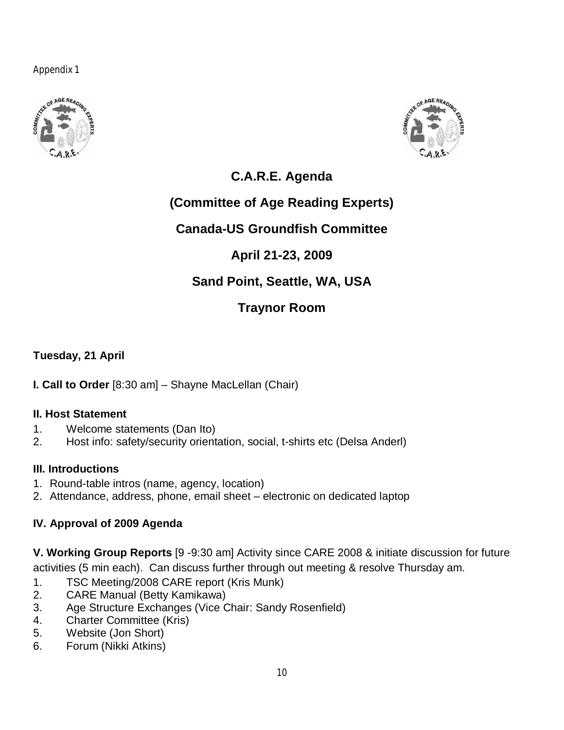Appendix 1





## **C.A.R.E. Agenda**

## **(Committee of Age Reading Experts)**

## **Canada-US Groundfish Committee**

## **April 21-23, 2009**

## **Sand Point, Seattle, WA, USA**

## **Traynor Room**

**Tuesday, 21 April**

**I. Call to Order** [8:30 am] – Shayne MacLellan (Chair)

## **II. Host Statement**

- 1. Welcome statements (Dan Ito)
- 2. Host info: safety/security orientation, social, t-shirts etc (Delsa Anderl)

## **III. Introductions**

- 1. Round-table intros (name, agency, location)
- 2. Attendance, address, phone, email sheet electronic on dedicated laptop

## **IV. Approval of 2009 Agenda**

**V. Working Group Reports** [9 -9:30 am] Activity since CARE 2008 & initiate discussion for future activities (5 min each). Can discuss further through out meeting & resolve Thursday am.

- 1. TSC Meeting/2008 CARE report (Kris Munk)
- 2. CARE Manual (Betty Kamikawa)
- 3. Age Structure Exchanges (Vice Chair: Sandy Rosenfield)
- 4. Charter Committee (Kris)
- 5. Website (Jon Short)
- 6. Forum (Nikki Atkins)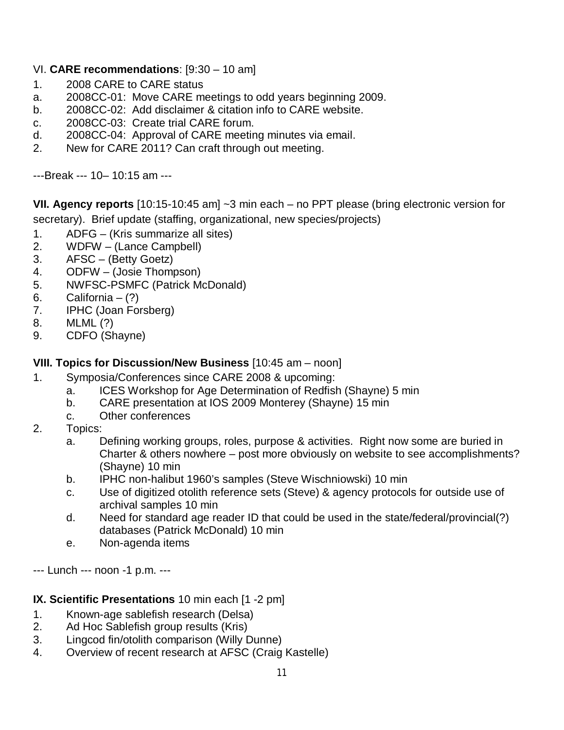## VI. **CARE recommendations**: [9:30 – 10 am]

- 1. 2008 CARE to CARE status
- a. 2008CC-01: Move CARE meetings to odd years beginning 2009.
- b. 2008CC-02: Add disclaimer & citation info to CARE website.
- c. 2008CC-03: Create trial CARE forum.
- d. 2008CC-04: Approval of CARE meeting minutes via email.
- 2. New for CARE 2011? Can craft through out meeting.

---Break --- 10– 10:15 am ---

**VII. Agency reports** [10:15-10:45 am] ~3 min each – no PPT please (bring electronic version for secretary). Brief update (staffing, organizational, new species/projects)

- 1. ADFG (Kris summarize all sites)
- 2. WDFW (Lance Campbell)
- 3. AFSC (Betty Goetz)
- 4. ODFW (Josie Thompson)
- 5. NWFSC-PSMFC (Patrick McDonald)
- 6. California  $-$  (?)
- 7. IPHC (Joan Forsberg)
- 8. MLML (?)
- 9. CDFO (Shayne)

### **VIII. Topics for Discussion/New Business** [10:45 am – noon]

- 1. Symposia/Conferences since CARE 2008 & upcoming:
	- a. ICES Workshop for Age Determination of Redfish (Shayne) 5 min
	- b. CARE presentation at IOS 2009 Monterey (Shayne) 15 min
	- c. Other conferences
- 2. Topics:
	- a. Defining working groups, roles, purpose & activities. Right now some are buried in Charter & others nowhere – post more obviously on website to see accomplishments? (Shayne) 10 min
	- b. IPHC non-halibut 1960's samples (Steve Wischniowski) 10 min
	- c. Use of digitized otolith reference sets (Steve) & agency protocols for outside use of archival samples 10 min
	- d. Need for standard age reader ID that could be used in the state/federal/provincial(?) databases (Patrick McDonald) 10 min
	- e. Non-agenda items

--- Lunch --- noon -1 p.m. ---

## **IX. Scientific Presentations** 10 min each [1 -2 pm]

- 1. Known-age sablefish research (Delsa)
- 2. Ad Hoc Sablefish group results (Kris)
- 3. Lingcod fin/otolith comparison (Willy Dunne)
- 4. Overview of recent research at AFSC (Craig Kastelle)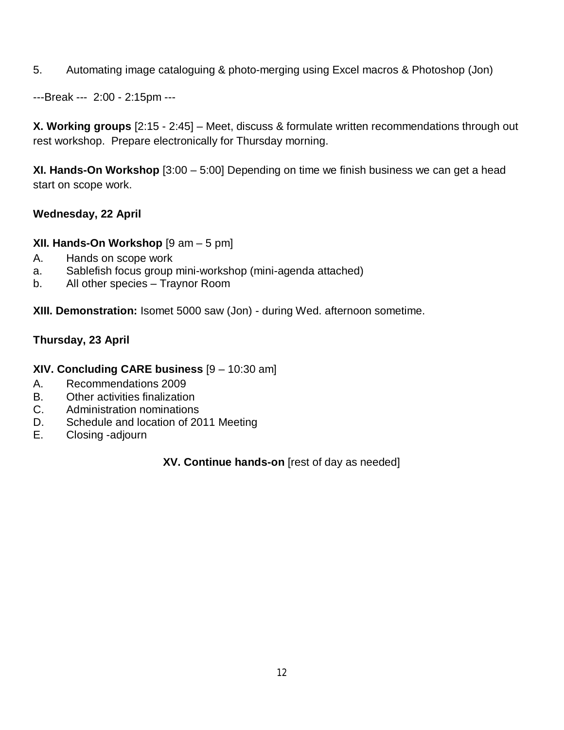5. Automating image cataloguing & photo-merging using Excel macros & Photoshop (Jon)

---Break --- 2:00 - 2:15pm ---

**X. Working groups** [2:15 - 2:45] – Meet, discuss & formulate written recommendations through out rest workshop. Prepare electronically for Thursday morning.

**XI. Hands-On Workshop** [3:00 – 5:00] Depending on time we finish business we can get a head start on scope work.

## **Wednesday, 22 April**

**XII. Hands-On Workshop** [9 am – 5 pm]

- A. Hands on scope work
- a. Sablefish focus group mini-workshop (mini-agenda attached)
- b. All other species Traynor Room

**XIII. Demonstration:** Isomet 5000 saw (Jon) - during Wed. afternoon sometime.

## **Thursday, 23 April**

### **XIV. Concluding CARE business** [9 – 10:30 am]

- A. Recommendations 2009
- B. Other activities finalization
- C. Administration nominations
- D. Schedule and location of 2011 Meeting
- E. Closing -adjourn

**XV. Continue hands-on** [rest of day as needed]